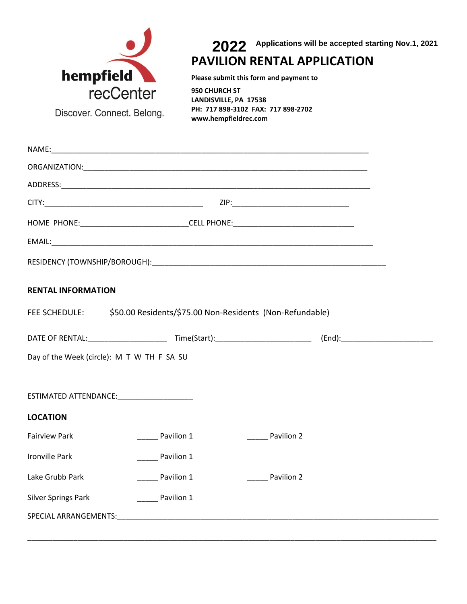

**2021 PAVILION RENTAL APPLICATION 2022** <sup>2022</sup> **Applications will be accepted starting Nov.1, 2021**

**Please submit this form and payment to**

**950 CHURCH ST LANDISVILLE, PA 17538 PH: 717 898-3102 FAX: 717 898-2702 www.hempfieldrec.com**

|                            | HOME PHONE:______________________________CELL PHONE:____________________________                                                                                                                                               |            |  |  |
|----------------------------|--------------------------------------------------------------------------------------------------------------------------------------------------------------------------------------------------------------------------------|------------|--|--|
|                            |                                                                                                                                                                                                                                |            |  |  |
|                            |                                                                                                                                                                                                                                |            |  |  |
| <b>RENTAL INFORMATION</b>  |                                                                                                                                                                                                                                |            |  |  |
|                            | FEE SCHEDULE: \$50.00 Residents/\$75.00 Non-Residents (Non-Refundable)                                                                                                                                                         |            |  |  |
|                            |                                                                                                                                                                                                                                |            |  |  |
|                            | Day of the Week (circle): M T W TH F SA SU                                                                                                                                                                                     |            |  |  |
|                            | ESTIMATED ATTENDANCE: New York Contract of the Contract of the Contract of the Contract of the Contract of the Contract of the Contract of the Contract of the Contract of the Contract of the Contract of the Contract of the |            |  |  |
| <b>LOCATION</b>            |                                                                                                                                                                                                                                |            |  |  |
| <b>Fairview Park</b>       | Pavilion 1                                                                                                                                                                                                                     | Pavilion 2 |  |  |
| <b>Ironville Park</b>      | Pavilion 1                                                                                                                                                                                                                     |            |  |  |
| Lake Grubb Park            | Pavilion 1                                                                                                                                                                                                                     | Pavilion 2 |  |  |
| <b>Silver Springs Park</b> | ______ Pavilion 1                                                                                                                                                                                                              |            |  |  |
|                            |                                                                                                                                                                                                                                |            |  |  |

\_\_\_\_\_\_\_\_\_\_\_\_\_\_\_\_\_\_\_\_\_\_\_\_\_\_\_\_\_\_\_\_\_\_\_\_\_\_\_\_\_\_\_\_\_\_\_\_\_\_\_\_\_\_\_\_\_\_\_\_\_\_\_\_\_\_\_\_\_\_\_\_\_\_\_\_\_\_\_\_\_\_\_\_\_\_\_\_\_\_\_\_\_\_\_\_\_\_

Discover. Connect. Belong.